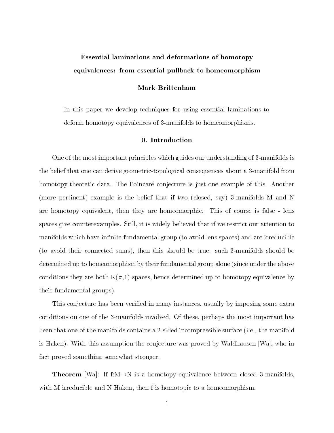# Essential laminations and deformations of homotopyequivalences: from essential pullback to homeomorphism

# Mark Brittenham

In this paper we develop techniques for using essential laminations to deform homotopy equivalences of 3-manifolds to homeomorphisms.

#### 0. Introduction

One of the most important principles which guides our understanding of 3-manifolds is the belief that one can derive geometric-topological consequences about a 3-manifold from homotopy-theoretic data. The Poincaré conjecture is just one example of this. Another (more pertinent) example is the belief that if two (closed, say) 3-manifolds M and N are homotopy equivalent, then they are homeomorphic. This of course is false - lens spaces give counterexamples. Still, it is widely believed that if we restrict our attention to manifolds which have infinite fundamental group (to avoid lens spaces) and are irreducible (to avoid their connected sums), then this should be true: such 3-manifolds should be determined up to homeomorphism by their fundamental group alone (since under the above conditions they are both  $K(\pi,1)$ -spaces, hence determined up to homotopy equivalence by their fundamental groups).

This conjecture has been verified in many instances, usually by imposing some extra conditions on one of the 3-manifolds involved. Of these, perhaps the most important has been that one of the manifolds contains a 2-sided incompressible surface (i.e., the manifold is Haken). With this assumption the conjecture was proved by Waldhausen [Wa], who in fact proved something somewhat stronger:

**Theorem** [Wa]: If  $I: M \rightarrow N$  is a homotopy equivalence between closed 3-manifolds, with M irreducible and N Haken, then f is homotopic to a homeomorphism.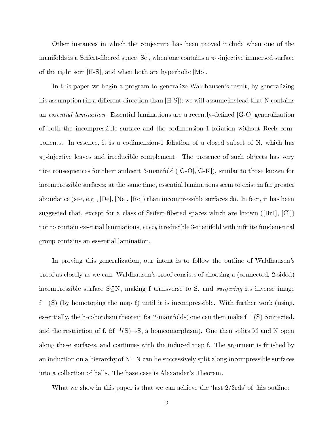Other instances in which the conjecture has been proved include when one of the manifolds is a Seifert-fibered space [Sc], when one contains a  $\pi_1$ -injective immersed surface of the right sort [H-S], and when both are hyperbolic [Mo].

In this paper we begin a program to generalize Waldhausen's result, by generalizing his assumption (in a different direction than  $[H-S]$ ): we will assume instead that N contains an essential lamination. Essential laminations are a recently-defined [G-O] generalization of both the incompressible surface and the codimension-1 foliation without Reeb components. In essence, it is a codimension-1 foliation of a closed subset of N, which has  $\pi_1$ -injective leaves and irreducible complement. The presence of such objects has very nice consequences for their ambient 3-manifold ([G-O],[G-K]), similar to those known for incompressible surfaces; at the same time, essential laminations seem to exist in far greater abundance (see, e.g.,  $[De]$ ,  $[Na]$ ,  $[Ro]$ ) than incompressible surfaces do. In fact, it has been suggested that, except for a class of Seifert-fibered spaces which are known ( $|Br1|$ ,  $|Cl1|$ ) not to contain essential laminations, every irreducible 3-manifold with infinite fundamental group contains an essential lamination.

In proving this generalization, our intent is to follow the outline of Waldhausen's proof as closely as we can. Waldhausen's proof consists of choosing a (connected, 2-sided) incompressible surface  $S\subseteq N$ , making f transverse to S, and *surgering* its inverse image f1 (S) (by homotoping the map f ) until it is incompressible. With further work (using, essentially, the h-cobordism theorem for 2-manifolds) one can then make  $I^-(S)$  connected, and the restriction of f, f:f $\rightarrow$ (5) $\rightarrow$ 5, a homeomorphism). One then splits M and N open along these surfaces, and continues with the induced map f. The argument is finished by an induction on a hierarchy of N - N can be successively split along incompressible surfaces into a collection of balls. The base case is Alexander's Theorem.

What we show in this paper is that we can achieve the 'last  $2/3$ rds' of this outline: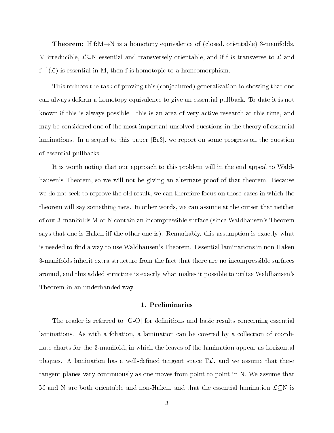**Theorem:** If  $\text{I:}\ \mathbb{N} \to \mathbb{N}$  is a homotopy equivalence of (closed, orientable) 3-manifolds, M irreducible,  $\mathcal{L}\subseteq\mathbb{N}$  essential and transversely orientable, and if f is transverse to  $\mathcal{L}$  and  $f^{-1}(\mathcal{L})$  is essential in M, then f is homotopic to a homeomorphism.

This reduces the task of proving this (conjectured) generalization to showing that one can always deform a homotopy equivalence to give an essential pullback. To date it is not known if this is always possible - this is an area of very active research at this time, and may be considered one of the most important unsolved questions in the theory of essential laminations. In a sequel to this paper [Br3], we report on some progress on the question of essential pullbacks.

It is worth noting that our approach to this problem will in the end appeal to Waldhausen's Theorem, so we will not be giving an alternate proof of that theorem. Because we do not seek to reprove the old result, we can therefore focus on those cases in which the theorem will say something new. In other words, we can assume at the outset that neither of our 3-manifolds M or N contain an incompressible surface (since Waldhausen's Theorem says that one is Haken iff the other one is). Remarkably, this assumption is exactly what is needed to find a way to use Waldhausen's Theorem. Essential laminations in non-Haken 3-manifolds inherit extra structure from the fact that there are no incompressible surfaces around, and this added structure is exactly what makes it possible to utilize Waldhausen's Theorem in an underhanded way.

#### 1. Preliminaries

The reader is referred to  $[G-O]$  for definitions and basic results concerning essential laminations. As with a foliation, a lamination can be covered by a collection of coordinate charts for the 3-manifold, in which the leaves of the lamination appear as horizontal plaques. A lamination has a well-defined tangent space  $T\mathcal{L}$ , and we assume that these tangent planes vary continuously as one moves from point to point in N. We assume that M and N are both orientable and non-Haken, and that the essential lamination  $\mathcal{L}\subseteq\mathbb{N}$  is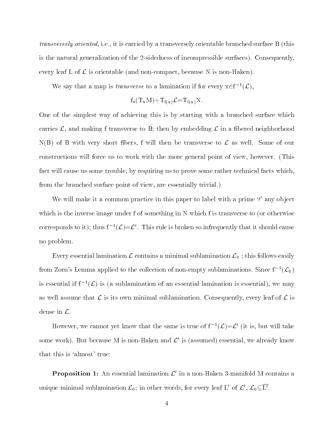transversely oriented, i.e., it is carried by a transversely orientable branched surface B (this is the natural generalization of the 2-sidedness of incompressible surfaces). Consequently, every leaf L of  $\mathcal L$  is orientable (and non-compact, because N is non-Haken).

We say that a map is *transverse* to a lamination if for every  $x \in f^{-1}(\mathcal{L})$ ,

$$
f_*(T_xM) + T_{f(x)}\mathcal{L} = T_{f(x)}N.
$$

One of the simplest way of achieving this is by starting with a branched surface which carries  $\mathcal{L}$ , and making f transverse to B; then by embedding  $\mathcal{L}$  in a fibered neighborhood  $N(B)$  of B with very short fibers, f will then be transverse to  $\mathcal L$  as well. Some of our constructions will force us to work with the more general point of view, however. (This fact will cause us some trouble, by requiring us to prove some rather technical facts which, from the branched surface point of view, are essentially trivial.)

We will make it a common practice in this paper to label with a prime  $\gamma'$  any object which is the inverse image under f of something in N which f is transverse to (or otherwise corresponds to it); thus  $f^{-1}(\mathcal{L}) = \mathcal{L}'$ . This rule is broken so infrequently that it should cause no problem.

Every essential lamination  $\mathcal L$  contains a minimal sublamination  $\mathcal L_0$ ; this follows easily from Zorn's Lemma applied to the collection of non-empty sublaminations. Since  $f^{-1}(\mathcal{L}_0)$ is essential if  $f^{-1}(\mathcal{L})$  is (a sublamination of an essential lamination is essential), we may as well assume that  $\mathcal L$  is its own minimal sublamination. Consequently, every leaf of  $\mathcal L$  is dense in L.

However, we cannot yet know that the same is true of  $f^{-1}(\mathcal{L})=\mathcal{L}'$  (it is, but will take some work). But because M is non-Haken and  $\mathcal{L}'$  is (assumed) essential, we already know that this is `almost' true:

**Proposition 1:** An essential lamination  $\mathcal{L}'$  in a non-Haken 3-manifold M contains a unique minimal sublamination  $\mathcal{L}_0$ ; in other words, for every leaf L' of  $\mathcal{L}'$ ,  $\mathcal{L}_0 \subseteq \overline{L'}$ .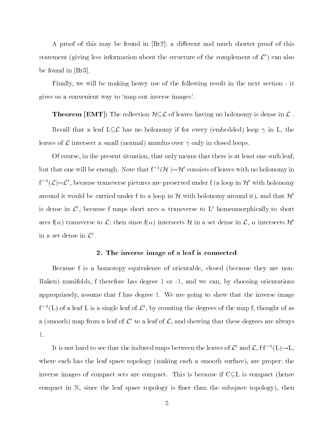A proof of this may be found in  $[Br2]$ ; a different and much shorter proof of this statement (giving less information about the structure of the complement of  $\mathcal{L}'$ ) can also be found in [Br3].

Finally, we will be making heavy use of the following result in the next section - it gives us a convenient way to `map out inverse images'.

**Theorem [EMT]:** The collection  $\mathcal{H\subset L}$  of leaves having no holonomy is dense in  $\mathcal{L}$  .

Recall that a leaf  $L\subset\mathcal{L}$  has no holonomy if for every (embedded) loop  $\gamma$  in L, the leaves of  $\mathcal L$  intersect a small (normal) annulus over  $\gamma$  only in closed loops.

Of course, in the present situation, that only means that there is at least one such leaf, but that one will be enough. Note that  $f^{-1}(\mathcal{H}) = \mathcal{H}'$  consists of leaves with no holonomy in  $f^{-1}(\mathcal{L})=\mathcal{L}'$ , because transverse pictures are preserved under f (a loop in H' with holonomy around it would be carried under f to a loop in  $H$  with holonomy around it), and that  $H'$ is dense in  $\mathcal{L}'$ , because f maps short arcs  $\alpha$  transverse to L' homeomorphically to short arcs f( $\alpha$ ) transverse to  $\mathcal{L}$ ; then since f( $\alpha$ ) intersects H in a set dense in  $\mathcal{L}$ ,  $\alpha$  intersects H' in a set dense in  $\mathcal{L}'$ .

#### 2. The inverse image of a leaf is connected

Because f is a homotopy equivalence of orientable, closed (because they are non-Haken) manifolds, f therefore has degree 1 or -1, and we can, by choosing orientations appropriately, assume that f has degree 1. We are going to show that the inverse image  $f^{-1}(L)$  of a leaf L is a single leaf of  $\mathcal{L}'$ , by counting the degrees of the map f, thought of as a (smooth) map from a leaf of  $\mathcal{L}'$  to a leaf of  $\mathcal{L}$ , and showing that these degrees are always 1.

It is not hard to see that the induced maps between the leaves of  $\mathcal{L}'$  and  $\mathcal{L}$ ,  $f: f^{-1}(L) \to L$ , where each has the leaf space topology (making each a smooth surface), are proper; the inverse images of compact sets are compact. This is because if  $C\subseteq L$  is compact (hence compact in  $N$ , since the leaf space topology is finer than the subspace topology), then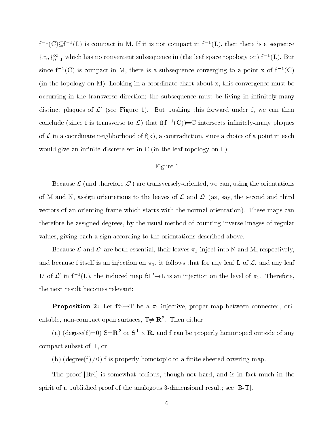$f^{-1}(C) \subseteq f^{-1}(L)$  is compact in M. If it is not compact in  $f^{-1}(L)$ , then there is a sequence  ${x_n}_{n=1}^{\infty}$  which has no convergent subsequence in (the leaf space topology on)  $f^{-1}(L)$ . But since  $I^{-1}(\mathbb{C})$  is compact in M, there is a subsequence converging to a point x of  $I^{-1}(\mathbb{C})$ (in the topology on M). Looking in a coordinate chart about x, this convergence must be occurring in the transverse direction; the subsequence must be living in infinitely-many distinct plaques of  $\mathcal{L}'$  (see Figure 1). But pushing this forward under f, we can then conclude (since f is transverse to  $\mathcal{L}$ ) that  $f(f^{-1}(C))=C$  intersects infinitely-many plaques of  $\mathcal L$  in a coordinate neighborhood of  $f(x)$ , a contradiction, since a choice of a point in each would give an infinite discrete set in  $C$  (in the leaf topology on  $L$ ).

## Figure 1

Because  $\mathcal{L}$  (and therefore  $\mathcal{L}'$ ) are transversely-oriented, we can, using the orientations of M and N, assign orientations to the leaves of  $\mathcal L$  and  $\mathcal L'$  (as, say, the second and third vectors of an orienting frame which starts with the normal orientation). These maps can therefore be assigned degrees, by the usual method of counting inverse images of regular values, giving each a sign according to the orientations described above.

Because  $\mathcal L$  and  $\mathcal L'$  are both essential, their leaves  $\pi_1$ -inject into N and M, respectively, and because f itself is an injection on  $\pi_1$ , it follows that for any leaf L of  $\mathcal{L}$ , and any leaf L' of  $\mathcal{L}'$  in  $f^{-1}(L)$ , the induced map  $f:L'\to L$  is an injection on the level of  $\pi_1$ . Therefore, the next result becomes relevant:

**Proposition 2:** Let  $r:\mathbb{R}\rightarrow 1$  be a  $\pi_1$ -injective, proper map between connected, orientable, non-compact open surfaces,  $T \neq \mathbf{R^2}$ . Then either

(a) (degree(f)=0)  $\leq K^2$  or  $S^2 \times K$ , and f can be properly homotoped outside of any compact subset of T, or

(b) (degree(f) $\neq$ 0) f is properly homotopic to a finite-sheeted covering map.

The proof [Br4] is somewhat tedious, though not hard, and is in fact much in the spirit of a published proof of the analogous 3-dimensional result; see [B-T].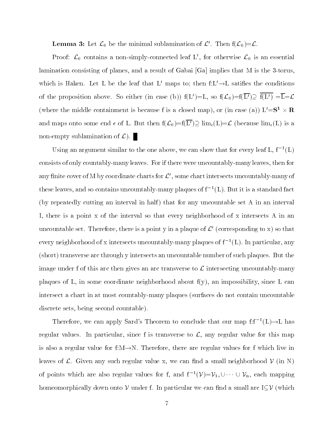**Lemma 3:** Let  $\mathcal{L}_0$  be the minimal sublamination of  $\mathcal{L}'$ . Then  $f(\mathcal{L}_0)=\mathcal{L}$ .

Proof:  $\mathcal{L}_0$  contains a non-simply-connected leaf L', for otherwise  $\mathcal{L}_0$  is an essential lamination consisting of planes, and a result of Gabai [Ga] implies that M is the 3-torus, which is Haken. Let L be the leaf that L' maps to; then  $f:L' \rightarrow L$  satifies the conditions of the proposition above. So either (in case (b))  $f(L')=L$ , so  $f(\mathcal{L}_0)=f(\overline{L'})\supseteq \overline{f(L')}=\overline{L}=\mathcal{L}$ (where the middle containment is because f is a closed map), or (in case (a))  $L = S^+ \times R$ and maps onto some end  $\epsilon$  of L. But then  $f(\mathcal{L}_0)=f(\overline{L'})\supseteq \lim_{\epsilon}(L)=\mathcal{L}$  (because  $\lim_{\epsilon}(L)$  is a non-empty sublamination of  $\mathcal{L}$ ).

Using an argument similar to the one above, we can show that for every leaf  $L, I^{-1}(L)$ consists of only countably-many leaves. For if there were uncountably-many leaves, then for any finite cover of M by coordinate charts for  $\mathcal{L}'$ , some chart intersects uncountably-many of these leaves, and so contains uncountably-many plaques of f $\left\lceil(1\right)\right\rceil$ . But it is a standard fact (by repeatedly cutting an interval in half) that for any uncountable set A in an interval I, there is a point x of the interval so that every neighborhood of x intersects A in an uncountable set. Therefore, there is a point y in a plaque of  $\mathcal{L}'$  (corresponding to x) so that every neignborhood of x intersects uncountably-many plaques of f  $\,$  [L]. In particular, any  $\,$ (short) transverse arc through y intersects an uncountable number of such plaques. But the image under f of this arc then gives an arc transverse to  $\mathcal L$  intersecting uncountably-many plaques of L, in some coordinate neighborhood about f(y), an impossibility, since L can intersect a chart in at most countably-many plaques (surfaces do not contain uncountable discrete sets, being second countable).

Therefore, we can apply Sard's Theorem to conclude that our map  $f: f^{-1}(L) \to L$  has regular values. In particular, since f is transverse to  $\mathcal{L}$ , any regular value for this map is also a regular value for f: $M \rightarrow N$ . Therefore, there are regular values for f which live in leaves of  $\mathcal L$ . Given any such regular value x, we can find a small neighborhood  $\mathcal V$  (in N) of points which are also regular values for f, and  $f^{-1}(\mathcal{V}) = \mathcal{V}_1, \cup \cdots \cup \mathcal{V}_n$ , each mapping homeomorphically down onto  $V$  under f. In particular we can find a small arc I $\subseteq V$  (which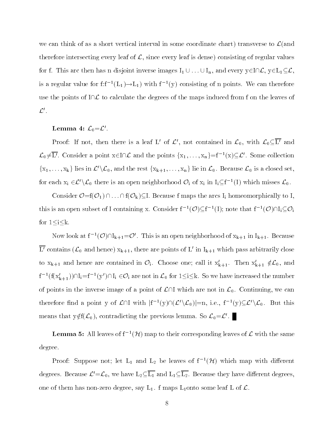we can think of as a short vertical interval in some coordinate chart) transverse to  $\mathcal{L}(\text{and}$ therefore intersecting every leaf of  $\mathcal{L}$ , since every leaf is dense) consisting of regular values for f. This arc then has n disjoint inverse images  $I_1 \cup ... \cup I_n$ , and every  $y \in I \cap \mathcal{L}$ ,  $y \in L_1 \subseteq \mathcal{L}$ , is a regular value for  $\mathrm{I}\mathrm{I}^+$   $(\mathrm{L}_1)\to\mathrm{L}_1$  ) with  $\mathrm{I}^+$  (y) consisting of n points. We can therefore use the points of  $I\cap\mathcal{L}$  to calculate the degrees of the maps induced from f on the leaves of  $\mathcal{L}'$  .

## Lemma 4:  $\mathcal{L}_0\!=\!\mathcal{L}'$  .

Proof: If not, then there is a leaf L' of  $\mathcal{L}'$ , not contained in  $\mathcal{L}_0$ , with  $\mathcal{L}_0 \subseteq \overline{L'}$  and  $\mathcal{L}_0\neq L'$ . Consider a point  $x\in I\cap\mathcal{L}$  and the points  $\{x_1,\ldots,x_n\}=f^{-1}(x)\subseteq\mathcal{L}'$ . Some collection  $\{x_1,\ldots,x_k\}$  lies in  $\mathcal{L}'\backslash\mathcal{L}_0$ , and the rest  $\{x_{k+1},\ldots,x_n\}$  lie in  $\mathcal{L}_0$ . Because  $\mathcal{L}_0$  is a closed set, for each  $x_i \in \mathcal{L}'\backslash \mathcal{L}_0$  there is an open neighborhood  $\mathcal{O}_i$  of  $x_i$  in  $I_i \subseteq f^{-1}(I)$  which misses  $\mathcal{L}_0$ .

Consider  $\mathcal{O} = f(\mathcal{O}_1) \cap \ldots \cap f(\mathcal{O}_k) \subseteq I$ . Because f maps the arcs I<sub>i</sub> homeomorphically to I, this is an open subset of I containing x. Consider  $f^{-1}(\mathcal{O}) \subseteq f^{-1}(I)$ ; note that  $f^{-1}(\mathcal{O}) \cap I_i \subseteq \mathcal{O}_i$ for  $1 \leq i \leq k$ .

Now look at  $f^{-1}(\mathcal{O})\cap I_{k+1}=\mathcal{O}'$ . This is an open neighborhood of  $x_{k+1}$  in  $I_{k+1}$ . Because  $\overline{L'}$  contains  $(\mathcal{L}_0$  and hence)  $x_{k+1}$ , there are points of L' in  $I_{k+1}$  which pass arbitrarily close to  $x_{k+1}$  and hence are contained in  $\mathcal{O}_i$ . Choose one; call it  $x'_{k+1}$ . Then  $x'_{k+1} \notin \mathcal{L}_0$ , and  $f^{-1}(f(x'_{k+1})) \cap I_i = f^{-1}(y') \cap I_i \in \mathcal{O}_i$  are not in  $\mathcal{L}_0$  for  $1 \leq i \leq k$ . So we have increased the number of points in the inverse image of a point of  $\mathcal{L}\cap\mathcal{I}$  which are not in  $\mathcal{L}_0$ . Continuing, we can therefore find a point y of  $\mathcal{L} \cap I$  with  $|f^{-1}(y) \cap (\mathcal{L}' \backslash \mathcal{L}_0)| = n$ , i.e.,  $f^{-1}(y) \subseteq \mathcal{L}' \backslash \mathcal{L}_0$ . But this means that  $y \notin f(\mathcal{L}_0)$ , contradicting the previous lemma. So  $\mathcal{L}_0 = \mathcal{L}'$ .

**Lemma 5:** All leaves of  $f^{-1}(\mathcal{H})$  map to their corresponding leaves of  $\mathcal{L}$  with the same degree.

Proof: Suppose not; let  $L_1$  and  $L_2$  be leaves of  $f^{-1}(\mathcal{H})$  which map with different degrees. Because  $\mathcal{L}'=\mathcal{L}_0$ , we have  $L_2\subseteq\overline{L_1}$  and  $L_1\subseteq\overline{L_2}$ . Because they have different degrees, one of them has non-zero degree, say  $L_1$ . f maps  $L_1$ onto some leaf L of  $\mathcal{L}$ .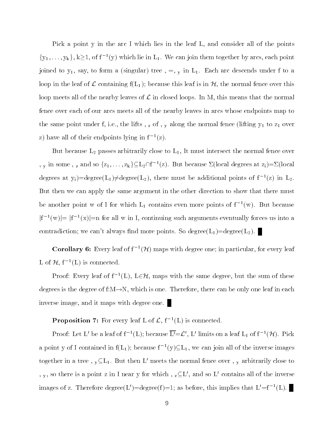Pick a point y in the arc I which lies in the leaf L, and consider all of the points  ${y_1, \ldots, y_k}$ ,  $k \ge 1$ , of  $f^{-1}(y)$  which lie in  $L_1$ . We can join them together by arcs, each point joined to  $y_1$ , say, to form a (singular) tree  $, =, y$  in  $L_1$ . Each arc descends under f to a loop in the leaf of L containing  $f(L_1)$ ; because this leaf is in  $H$ , the normal fence over this loop meets all of the nearby leaves of  $\mathcal L$  in closed loops. In M, this means that the normal fence over each of our arcs meets all of the nearby leaves in arcs whose endpoints map to the same point under f, i.e., the lifts,  $z$  of,  $y$  along the normal fence (lifting  $y_1$  to  $z_1$  over z) have all of their endpoints lying in f1 (z).

But because  $L_2$  passes arbitrarily close to  $L_1$ , It must intersect the normal fence over , y in some , z and so  $\{z_1,\ldots,z_k\} \subseteq L_2 \cap f^{-1}(z)$ . But because  $\Sigma(\text{local degrees at } z_i) = \Sigma(\text{local}$ degrees at y<sub>i</sub>)=degree(L<sub>1</sub>) $\neq$ degree(L<sub>2</sub>), there must be additional points of f<sup>-1</sup>(z) in L<sub>2</sub>. But then we can apply the same argument in the other direction to show that there must be another point w of I for which  $L_1$  contains even more points of  $I^-(w)$ . But because  $|f^{-1}(w)|=|f^{-1}(x)|=n$  for all w in I, continuing such arguments eventually forces us into a contradiction; we can't always find more points. So degree( $L_1$ )=degree( $L_2$ ).

**Corollary 6:** Every leaf of  $f^{-1}(\mathcal{H})$  maps with degree one; in particular, for every leaf L of  $H, f^{-1}(L)$  is connected.

Proof: Every leaf of  $f^{-1}(L)$ ,  $L \in \mathcal{H}$ , maps with the same degree, but the sum of these degrees is the degree of  $f:M\rightarrow N$ , which is one. Therefore, there can be only one leaf in each inverse image, and it maps with degree one.

**Proposition 7:** For every leaf L of  $\mathcal{L}$ ,  $f^{-1}(L)$  is connected.

Proof: Let L' be a leaf of  $f^{-1}(L)$ ; because  $L' = \mathcal{L}'$ , L' limits on a leaf  $L_1$  of  $f^{-1}(\mathcal{H})$ . Pick a point y of I contained in  $f(L_1)$ ; because  $f^{-1}(y) \subseteq L_1$ , we can join all of the inverse images together in a tree,  $y \subseteq L_1$ . But then L' meets the normal fence over, y arbitrarily close to , y, so there is a point z in I near y for which,  $z\subseteq L'$ , and so L' contains all of the inverse images of z. Therefore degree(L)=degree(f)=1; as before, this implies that L =  $\bar{1}$  = (L).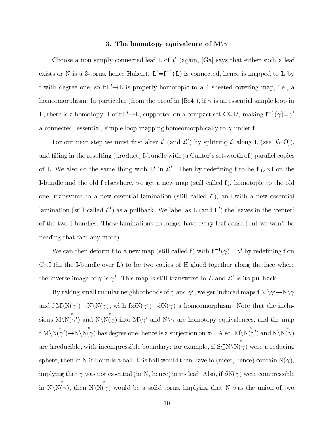#### 3. The homotopy equivalence of  $\mathrm{M}\mathord{\setminus}\gamma$

Choose a non-simply-connected leaf L of  $\mathcal L$  (again, [Ga] says that either such a leaf exists or iv is a 3-torus, nence Haken).  $L = I^{-1}(L)$  is connected, hence is mapped to L by f with degree one, so  $f: L' \to L$  is properly homotopic to a 1-sheeted covering map, i.e., a homeomorphism. In particular (from the proof in  $[Br4]$ ), if  $\gamma$  is an essential simple loop in L, there is a homotopy H of f:L' $\rightarrow$ L, supported on a compact set C $\subseteq$ L', making f<sup>-1</sup>( $\gamma$ )= $\gamma'$ a connected, essential, simple loop mapping homeomorphically to  $\gamma$  under f.

For our next step we must first alter  $\mathcal L$  (and  $\mathcal L'$ ) by splitting  $\mathcal L$  along L (see [G-O]), and filling in the resulting (product) I-bundle with (a Cantor's set-worth of) parallel copies of L. We also do the same thing with L' in  $\mathcal{L}'$ . Then by redefining f to be  $f|_{L'} \times I$  on the I-bundle and the old f elsewhere, we get a new map (still called f), homotopic to the old one, transverse to a new essential lamination (still called  $\mathcal{L}$ ), and with a new essential lamination (still called  $\mathcal{L}'$ ) as a pullback. We label as L (and L') the leaves in the 'center' of the two I-bundles. These laminations no longer have every leaf dense (but we won't be needing that fact any more).

We can their deform f to a new map (still called f) with  $\Gamma^-(\gamma) = \gamma$  by redefining f on U $\times$ I (in the I-bundle over L) to be two copies of H glued together along the face where the inverse image of  $\gamma$  is  $\gamma'$ . This map is still transverse to  $\mathcal L$  and  $\mathcal L'$  is its pullback.

By taking small tubular neighborhoods of  $\gamma$  and  $\gamma'$ , we get induced maps f:M $\gamma' \rightarrow$ N $\gamma$ and f: $M\ N(\gamma')\to N\ N(\gamma)$ , with f: $\partial N(\gamma')\to \partial N(\gamma)$  a homeomorphism. Note that the inclusions  $M\setminus N(\gamma)$  and  $N\setminus N(\gamma)$  into  $M\setminus\gamma'$  and  $N\setminus\gamma$  are homotopy equivalences, and the map  $f:M\setminus N(\gamma')\to N\setminus N(\gamma)$  has degree one, hence is a surjection on  $\pi_1$ . Also,  $M\setminus N(\gamma')$  and  $N\setminus N(\gamma)$  $\cdots$   $\cdots$ are irreducible, with incompressible boundary: for example, if  $S\subseteq N\setminus N(\gamma)$ . N(
) were a reducing sphere, then in N it bounds a ball; this ball would then have to (meet, hence) contain  $N(\gamma)$ , implying that  $\gamma$  was not essential (in N, hence) in its leaf. Also, if  $\partial N(\gamma)$  were compressible in  $N\backslash N(\gamma)$ , then  $N\backslash N(\gamma)$ N(
) would be a solid torus, implying that N was the union of two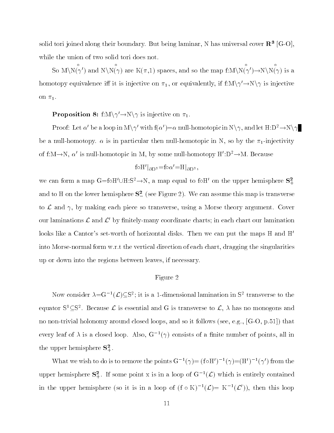solid tori joined along their boundary. But being laminar, N has universal cover  ${\bf K}^+ \, |G\text{-}{\bf U}|,$ while the union of two solid tori does not.

So  $M\setminus N(\gamma)$  and  $N\setminus N(\gamma)$  are  $K(\pi,1)$  spaces, and so the map  $f:M\setminus N(\gamma')\to N\setminus N(\gamma)$ :  $\cdots$   $\cdots$   $\cdots$ homotopy equivalence iff it is injective on  $\pi_1$ , or equivalently, if  $f:M\setminus \gamma' \to N\setminus \gamma$  is injective on  $\pi_1$ .

Proposition 8: f: $M\backslash \gamma'$   $\rightarrow$   $N\backslash \gamma$  is injective on  $\pi_1$ .

Proof: Let  $\alpha'$  be a loop in  $M\setminus \gamma'$  with  $f(\alpha') = \alpha$  null-homotopic in  $N\setminus \gamma$ , and let  $H:D^2 \to N\setminus \gamma$ be a null-homotopy.  $\alpha$  is in particular then null-homotopic in N, so by the  $\pi_1$ -injectivity of f:M $\rightarrow$ N,  $\alpha'$  is null-homotopic in M, by some null-homotopy H':D<sup>2</sup> $\rightarrow$ M. Because

$$
\text{foH}'|_{\partial \mathbf{D}^2} = \text{fo}\alpha' = \text{H}|_{\partial \mathbf{D}^2},
$$

we can form a map G=foH'UH:S<sup>2</sup>  $\rightarrow$ N, a map equal to foH' on the upper hemisphere  $S^2_+$ and to H on the lower hemisphere  $S_{-}^2$  (see Figure 2). We can assume this map is transverse to  $\mathcal L$  and  $\gamma$ , by making each piece so transverse, using a Morse theory argument. Cover our laminations  $\mathcal L$  and  $\mathcal L'$  by finitely-many coordinate charts; in each chart our lamination looks like a Cantor's set-worth of horizontal disks. Then we can put the maps  $H$  and  $H'$ into Morse-normal form w.r.t the vertical direction of each chart, dragging the singularities up or down into the regions between leaves, if necessary.

# Figure 2

Now consider  $\lambda = G^{-1}(\mathcal{L}) \subseteq S^2$ ; it is a 1-dimensional lamination in  $S^2$  transverse to the equator  $S^1 \subseteq S^2$ . Because  $\mathcal L$  is essential and G is transverse to  $\mathcal L$ ,  $\lambda$  has no monogons and no non-trivial holonomy around closed loops, and so it follows (see, e.g., [G-O, p.51]) that every leal of  $\lambda$  is a closed loop. Also,  $G^{-}(\gamma)$  consists of a limite number of points, all in the upper nemisphere  $\mathbf{5}_{+}^{-}.$ 

What we wish to do is to remove the points G<sup>1</sup>( $\gamma$ )=(form if  $(\gamma)$ =(H<sup>1</sup>)<sup>-</sup>( $\gamma$ ) from the upper hemisphere  $S^2_+$ . If some point x is in a loop of  $G^{-1}(\mathcal{L})$  which is entirely contained in the upper hemisphere (so it is in a loop of  $(f \circ K)^{-1}(\mathcal{L}) = K^{-1}(\mathcal{L}')$ ), then this loop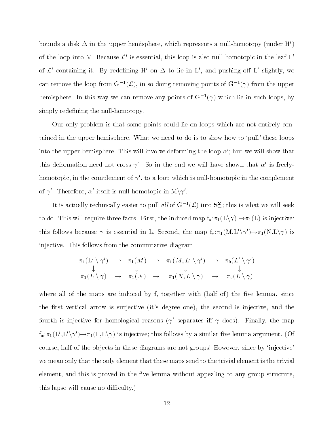bounds a disk  $\Delta$  in the upper hemisphere, which represents a null-homotopy (under H') of the loop into M. Because  $\mathcal{L}^{\prime}$  is essential, this loop is also null-homotopic in the leaf L' of  $\mathcal{L}'$  containing it. By redefining H' on  $\Delta$  to lie in L', and pushing off L' slightly, we can remove the loop from  $G^{-1}(\mathcal{L})$ , in so doing removing points of  $G^{-1}(\gamma)$  from the upper  $\mu$ emisphere. In this way we can remove any points of G $^+$ ( $\gamma$ ) which he in such loops, by simply redefining the null-homotopy.

Our only problem is that some points could lie on loops which are not entirely contained in the upper hemisphere. What we need to do is to show how to 'pull' these loops into the upper hemisphere. This will involve deforming the loop  $\alpha'$ ; but we will show that this deformation need not cross  $\gamma'$ . So in the end we will have shown that  $\alpha'$  is freelyhomotopic, in the complement of  $\gamma'$ , to a loop which is null-homotopic in the complement of  $\gamma'$ . Therefore,  $\alpha'$  itself is null-homotopic in  $M\gamma'$ .

It is actually technically easier to pull all of  $G^{-1}(\mathcal{L})$  into  $S^2_+$ ; this is what we will seek to do. This will require three facts. First, the induced map  $f_*:\pi_1(L\setminus \gamma)\to \pi_1(L)$  is injective: this follows because  $\gamma$  is essential in L. Second, the map  $f_*:\pi_1(M,L'\setminus\gamma')\to\pi_1(N,L\setminus\gamma)$  is injective. This follows from the commutative diagram

$$
\begin{array}{ccccccccc}\n\pi_1(L' \setminus \gamma') & \to & \pi_1(M) & \to & \pi_1(M, L' \setminus \gamma') & \to & \pi_0(L' \setminus \gamma') \\
\downarrow & & \downarrow & & \downarrow & & \downarrow \\
\pi_1(L \setminus \gamma) & \to & \pi_1(N) & \to & \pi_1(N, L \setminus \gamma) & \to & \pi_0(L \setminus \gamma)\n\end{array}
$$

where all of the maps are induced by  $f$ , together with (half of) the five lemma, since the first vertical arrow is surjective (it's degree one), the second is injective, and the fourth is injective for homological reasons ( $\gamma'$  separates iff  $\gamma$  does). Finally, the map  $f_*:\pi_1(L',L'\setminus \gamma')\to \pi_1(L,L\setminus \gamma)$  is injective; this follows by a similar five lemma argument. (Of course, half of the objects in these diagrams are not groups! However, since by 'injective' we mean only that the only element that these maps send to the trivial element is the trivial element, and this is proved in the five lemma without appealing to any group structure, this lapse will cause no difficulty.)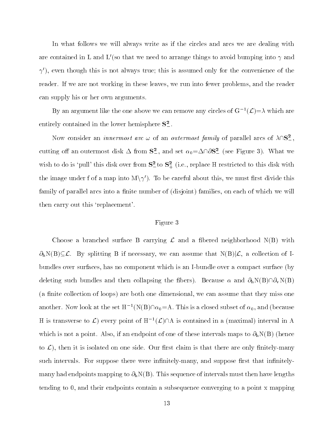In what follows we will always write as if the circles and arcs we are dealing with are contained in L and L'(so that we need to arrange things to avoid bumping into  $\gamma$  and  $\gamma'$ , even though this is not always true; this is assumed only for the convenience of the reader. If we are not working in these leaves, we run into fewer problems, and the reader can supply his or her own arguments.

By an argument like the one above we can remove any circles of  $G^{-1}(\mathcal{L}) = \lambda$  which are entirely contained in the lower hemisphere  $S^2_-$ .

Now consider an *innermost arc*  $\omega$  of an *outermost family* of parallel arcs of  $\lambda \cap S^2$ , cutting off an outermost disk  $\Delta$  from  $S^2$ , and set  $\alpha_0 = \Delta \cap \partial S^2$  (see Figure 3). What we wish to do is 'pull' this disk over from  $S_{-}^2$  to  $S_{+}^2$  (i.e., replace H restricted to this disk with the image under f of a map into  $M\setminus\gamma'$ . To be careful about this, we must first divide this family of parallel arcs into a finite number of (disjoint) families, on each of which we will then carry out this `replacement'.

## Figure 3

Choose a branched surface B carrying  $\mathcal L$  and a fibered neighborhood  $N(B)$  with  $\partial_h N(B) \subseteq \mathcal{L}$ . By splitting B if necessary, we can assume that  $N(B)|\mathcal{L}$ , a collection of Ibundles over surfaces, has no component which is an I-bundle over a compact surface (by deleting such bundles and then collapsing the fibers). Because  $\alpha$  and  $\partial_h N(B) \cap \partial_v N(B)$ (a finite collection of loops) are both one dimensional, we can assume that they miss one another. Now look at the set  $H^{-1}(N(B)\cap\alpha_0=A)$ . This is a closed subset of  $\alpha_0$ , and (because H is transverse to  $\mathcal{L}$ ) every point of  $H^{-1}(\mathcal{L})\cap A$  is contained in a (maximal) interval in A which is not a point. Also, if an endpoint of one of these intervals maps to  $\partial_h N(B)$  (hence to  $\mathcal{L}$ ), then it is isolated on one side. Our first claim is that there are only finitely-many such intervals. For suppose there were infinitely-many, and suppose first that infinitelymany had endpoints mapping to  $\partial_h N(B)$ . This sequence of intervals must then have lengths tending to 0, and their endpoints contain a subsequence converging to a point x mapping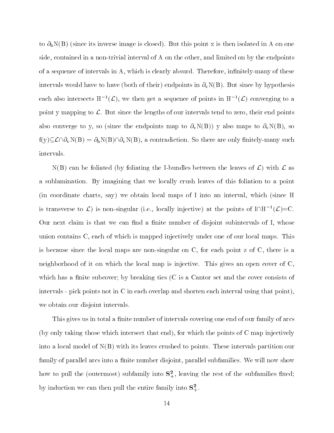to  $\partial_h N(B)$  (since its inverse image is closed). But this point x is then isolated in A on one side, contained in a non-trivial interval of A on the other, and limited on by the endpoints of a sequence of intervals in A, which is clearly absurd. Therefore, infinitely-many of these intervals would have to have (both of their) endpoints in  $\partial_v N(B)$ . But since by hypothesis each also intersects  $H^{-1}(\mathcal{L})$ , we then get a sequence of points in  $H^{-1}(\mathcal{L})$  converging to a point y mapping to  $\mathcal{L}$ . But since the lengths of our intervals tend to zero, their end points also converge to y, so (since the endpoints map to  $\partial_v N(B)$ ) y also maps to  $\partial_v N(B)$ , so  $f(y) \subseteq \mathcal{L} \cap \partial_v N(B) = \partial_h N(B) \cap \partial_v N(B)$ , a contradiction. So there are only finitely-many such intervals.

 $N(B)$  can be foliated (by foliating the I-bundles between the leaves of  $\mathcal{L}$ ) with  $\mathcal{L}$  as a sublamination. By imagining that we locally crush leaves of this foliation to a point (in coordinate charts, say) we obtain local maps of I into an interval, which (since H is transverse to  $\mathcal{L}$ ) is non-singular (i.e., locally injective) at the points of  $I\cap H^{-1}(\mathcal{L})=C$ . Our next claim is that we can find a finite number of disjoint subintervals of I, whose union contains C, each of which is mapped injectively under one of our local maps. This is because since the local maps are non-singular on C, for each point z of C, there is a neighborhood of it on which the local map is injective. This gives an open cover of C, which has a finite subcover; by breaking ties  $(C$  is a Cantor set and the cover consists of intervals - pick points not in C in each overlap and shorten each interval using that point), we obtain our disjoint intervals.

This gives us in total a finite number of intervals covering one end of our family of arcs (by only taking those which intersect that end), for which the points of C map injectively into a local model of  $N(B)$  with its leaves crushed to points. These intervals partition our family of parallel arcs into a finite number disjoint, parallel subfamilies. We will now show how to pull the (outermost) subfamily into  $S_{+}^-$ , leaving the rest of the subfamilies fixed; by induction we can then pull the entire family into  $S_{+}^{-}$ .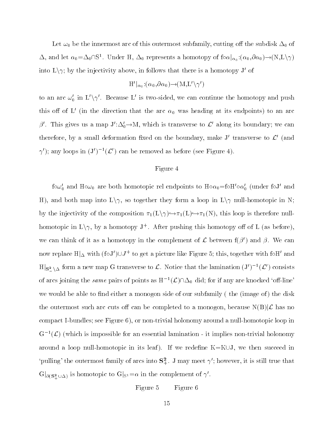Let  $\omega_0$  be the innermost arc of this outermost subfamily, cutting off the subdisk  $\Delta_0$  of  $\Delta$ , and let  $\alpha_0 = \Delta_0 \cap S^1$ . Under H,  $\Delta_0$  represents a homotopy of fo $\alpha|_{\alpha_0}$ : $(\alpha_0,\partial \alpha_0) \rightarrow (N,L\setminus \gamma)$ into  $L\setminus \gamma$ ; by the injectivity above, in follows that there is a homotopy J' of

$$
{\rm H}'|_{\alpha_{\,0}}; (\alpha_{0},\!\partial \alpha_{0})\!\!\rightarrow\!\!(\mathrm{M},\! \mathrm{L}' \backslash \gamma')
$$

to an arc  $\omega_0'$  in  $L' \setminus \gamma'$ . Because L' is two-sided, we can continue the homotopy and push this off of L' (in the direction that the arc  $\alpha_0$  was heading at its endpoints) to an arc  $\beta'$ . This gives us a map  $J' : \Delta'_0 \to M$ , which is transverse to  $\mathcal{L}'$  along its boundary; we can therefore, by a small deformation fixed on the boundary, make  $J'$  transverse to  $\mathcal{L}'$  (and  $\gamma'$ ; any loops in  $(J')^{-1}(\mathcal{L}')$  can be removed as before (see Figure 4).

# Figure 4

 $f \circ \omega_0'$  and  $H \circ \omega_0$  are both homotopic rel endpoints to  $H \circ \alpha_0 = f \circ H' \circ \alpha_0'$  (under fol' and H), and both map into  $L\setminus \gamma$ , so together they form a loop in  $L\setminus \gamma$  null-homotopic in N; by the injectivity of the composition  $\pi_1(L\setminus \gamma) \rightarrow \pi_1(L) \rightarrow \pi_1(N)$ , this loop is therefore nullhomotopic in  $L\setminus \gamma$ , by a homotopy J<sup>+</sup>. After pushing this homotopy off of L (as before), we can think of it as a homotopy in the complement of  $\mathcal L$  between  $f(\beta')$  and  $\beta$ . We can now replace  $\text{H}\vert_\Delta$  with (foJ') $\cup J^+$  to get a picture like Figure 5; this, together with foH' and  $\text{H}|_{\mathbf{S}^2_-\setminus\Delta}$  form a new map G transverse to  $\mathcal{L}$ . Notice that the lamination  $(J')^{-1}(\mathcal{L}')$  consists of arcs joining the *same* pairs of points as  $H^{-1}(\mathcal{L})\cap\Delta_0$  did; for if any are knocked 'off-line' we would be able to find either a monogon side of our subfamily (the (image of) the disk the outermost such arc cuts off can be completed to a monogon, because  $N(B)|\mathcal{L}$  has no compact I-bundles; see Figure 6), or non-trivial holonomy around a null-homotopic loop in  $G^{-1}(\mathcal{L})$  (which is impossible for an essential lamination - it implies non-trivial holonomy around a loop null-homotopic in its leaf). If we redefine  $K=K\cup J$ , we then succeed in 'pulling' the outermost family of arcs into  $S^2_+$ . J may meet  $\gamma'$ ; however, it is still true that  $G|_{\partial(\mathbf{S}^2_+\cup\Delta)}$  is homotopic to  $G|_{S^1}=\alpha$  in the complement of  $\gamma'$ .

Figure 5 Figure 6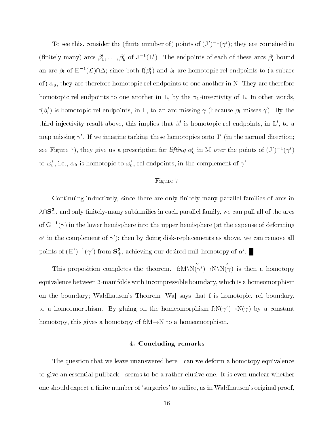To see this, consider the (innite number of ) points of  $(J_{\perp})^{-1}(\gamma)$ ; they are contained in (nnitely-many) arcs  $\rho_1,\ldots,\rho_k$  of J  $^-(L)$ . The endpoints of each of these arcs  $\rho_i$  bound an arc  $\beta_i$  of  $H^{-1}(\mathcal{L}) \cap \Delta$ ; since both  $f(\beta'_i)$  and  $\beta_i$  are homotopic rel endpoints to (a subarc of)  $\alpha_0$ , they are therefore homotopic rel endpoints to one another in N. They are therefore homotopic rel endpoints to one another in L, by the  $\pi_1$ -invectivity of L. In other words,  $f(\beta_i)$  is nomotopic rel endpoints, in L, to an arc missing  $\gamma$  (because  $\beta_i$  misses  $\gamma$ ). By the third injectivity result above, this implies that  $\rho_{\text{i}}$  is homotopic rel endpoints, in L , to a map missing  $\gamma'$ . If we imagine tacking these homotopies onto J' (in the normal direction; see Figure 1), they give us a prescription for *ujung*  $\alpha_0$  in M *over* the points of  $(J - \gamma)$ to  $\omega_0'$ , i.e.,  $\alpha_0$  is homotopic to  $\omega_0'$ , rel endpoints, in the complement of  $\gamma'$ .

## Figure 7

Continuing inductively, since there are only finitely many parallel families of arcs in  $\lambda$   $\cap$  S<sup>2</sup>, and only finitely-many subfamilies in each parallel family, we can pull all of the arcs of  $G_-(\gamma)$  in the lower nemisphere into the upper nemisphere (at the expense of deforming  $\alpha'$  in the complement of  $\gamma'$ ); then by doing disk-replacements as above, we can remove all points of  $(\Pi_{\alpha})^{-1}(\gamma)$  from  $S_{+}$ , achieving our desired null-homotopy of  $\alpha$  .

This proposition completes the theorem. f: $M \ N(\gamma') \to N \ N(\gamma)$ nd is the second of the homotopy and the second of the second second second second second second second second second second second second second second second second second second second second second second second second equivalence between 3-manifolds with incompressible boundary, which is a homeomorphism on the boundary; Waldhausen's Theorem [Wa] says that f is homotopic, rel boundary, to a homeomorphism. By gluing on the homeomorphism  $f: N(\gamma') \to N(\gamma)$  by a constant homotopy, this gives a homotopy of  $f:M \rightarrow N$  to a homeomorphism.

## 4. Concluding remarks

The question that we leave unanswered here - can we deform a homotopy equivalence to give an essential pullback - seems to be a rather elusive one. It is even unclear whether one should expect a finite number of 'surgeries' to suffice, as in Waldhausen's original proof,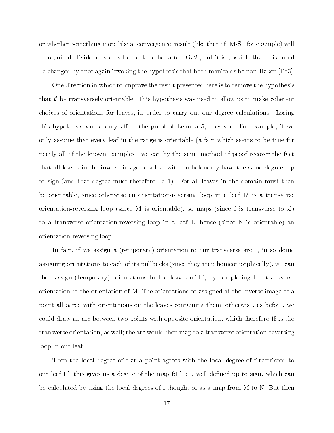or whether something more like a `convergence' result (like that of [M-S], for example) will be required. Evidence seems to point to the latter [Ga2], but it is possible that this could be changed by once again invoking the hypothesis that both manifolds be non-Haken [Br3].

One direction in which to improve the result presented here is to remove the hypothesis that  $\mathcal L$  be transversely orientable. This hypothesis was used to allow us to make coherent choices of orientations for leaves, in order to carry out our degree calculations. Losing this hypothesis would only affect the proof of Lemma 5, however. For example, if we only assume that every leaf in the range is orientable (a fact which seems to be true for nearly all of the known examples), we can by the same method of proof recover the fact that all leaves in the inverse image of a leaf with no holonomy have the same degree, up to sign (and that degree must therefore be 1). For all leaves in the domain must then be orientable, since otherwise an orientation-reversing loop in a leaf  $L'$  is a transverse orientation-reversing loop (since M is orientable), so maps (since f is transverse to  $\mathcal{L}$ ) to a transverse orientation-reversing loop in a leaf L, hence (since N is orientable) an orientation-reversing loop.

In fact, if we assign a (temporary) orientation to our transverse arc I, in so doing assigning orientations to each of its pullbacks (since they map homeomorphically), we can then assign (temporary) orientations to the leaves of  $L'$ , by completing the transverse orientation to the orientation of M. The orientations so assigned at the inverse image of a point all agree with orientations on the leaves containing them; otherwise, as before, we could draw an arc between two points with opposite orientation, which therefore flips the transverse orientation, as well; the arc would then map to a transverse orientation-reversing loop in our leaf.

Then the local degree of f at a point agrees with the local degree of f restricted to our leaf L'; this gives us a degree of the map  $f:L'\rightarrow L$ , well defined up to sign, which can be calculated by using the local degrees of f thought of as a map from M to N. But then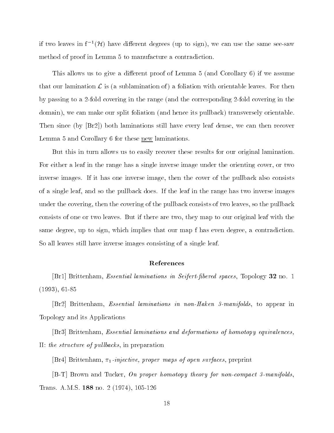if two leaves in  $f^{-1}(\mathcal{H})$  have different degrees (up to sign), we can use the same see-saw method of proof in Lemma 5 to manufacture a contradiction.

This allows us to give a different proof of Lemma 5 (and Corollary 6) if we assume that our lamination  $\mathcal L$  is (a sublamination of) a foliation with orientable leaves. For then by passing to a 2-fold covering in the range (and the corresponding 2-fold covering in the domain), we can make our split foliation (and hence its pullback) transversely orientable. Then since (by [Br2]) both laminations still have every leaf dense, we can then recover Lemma 5 and Corollary 6 for these new laminations.

But this in turn allows us to easily recover these results for our original lamination. For either a leaf in the range has a single inverse image under the orienting cover, or two inverse images. If it has one inverse image, then the cover of the pullback also consists of a single leaf, and so the pullback does. If the leaf in the range has two inverse images under the covering, then the covering of the pullback consists of two leaves, so the pullback consists of one or two leaves. But if there are two, they map to our original leaf with the same degree, up to sign, which implies that our map f has even degree, a contradiction. So all leaves still have inverse images consisting of a single leaf.

## References

[Br1] Brittenham, Essential laminations in Seifert-bered spaces, Topology <sup>32</sup> no. 1 (1993), 61-85

[Br2] Brittenham, Essential laminations in non-Haken 3-manifolds, to appear in Topology and its Applications

[Br3] Brittenham, Essential laminations and deformations of homotopy equivalences, II: the structure of pullbacks, in preparation

[Br4] Brittenham,  $\pi_1$ -injective, proper maps of open surfaces, preprint

 $[B-T]$  Brown and Tucker, On proper homotopy theory for non-compact 3-manifolds, Trans. A.M.S. <sup>188</sup> no. 2 (1974), 105-126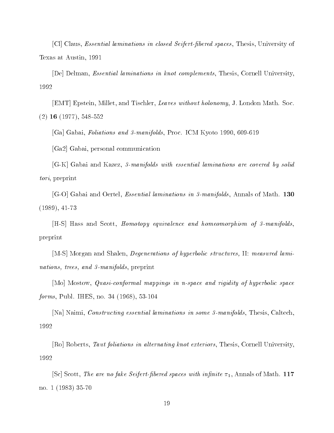[Cl] Claus, Essential laminations in closed Seifert-bered spaces, Thesis, University of Texas at Austin, 1991

 $[De]$  Delman, *Essential laminations in knot complements*, Thesis, Cornell University, 1992

[EMT] Epstein, Millet, and Tischler, Leaves without holonomy, J. London Math. Soc. (2) <sup>16</sup> (1977), 548-552

[Ga] Gabai, Foliations and 3-manifolds, Proc. ICM Kyoto 1990, 609-619

[Ga2] Gabai, personal communication

[G-K] Gabai and Kazez, 3-manifolds with essential laminations are covered by solid tori, preprint

 $|G-O|$  Gabai and Oertel, *Essential laminations in 3-manifolds*, Annals of Math. 130 (1989), 41-73

[H-S] Hass and Scott, Homotopy equivalence and homeomorphism of 3-manifolds, preprint

[M-S] Morgan and Shalen, Degenerations of hyperbolic structures, II: measured laminations, trees, and 3-manifolds, preprint

[Mo] Mostow, Quasi-conformal mappings in n-space and rigidity of hyperbolic space forms, Publ. IHES, no. 34 (1968), 53-104

[Na] Naimi, Constructing essential laminations in some 3-manifolds, Thesis, Caltech, 1992

 $|Ro|$  Roberts, Taut foliations in alternating knot exteriors, Thesis, Cornell University, 1992

[Sc] Scott, The are no fake Seifert-fibered spaces with infinite  $\pi_1$ , Annals of Math. 117 no. 1 (1983) 35-70